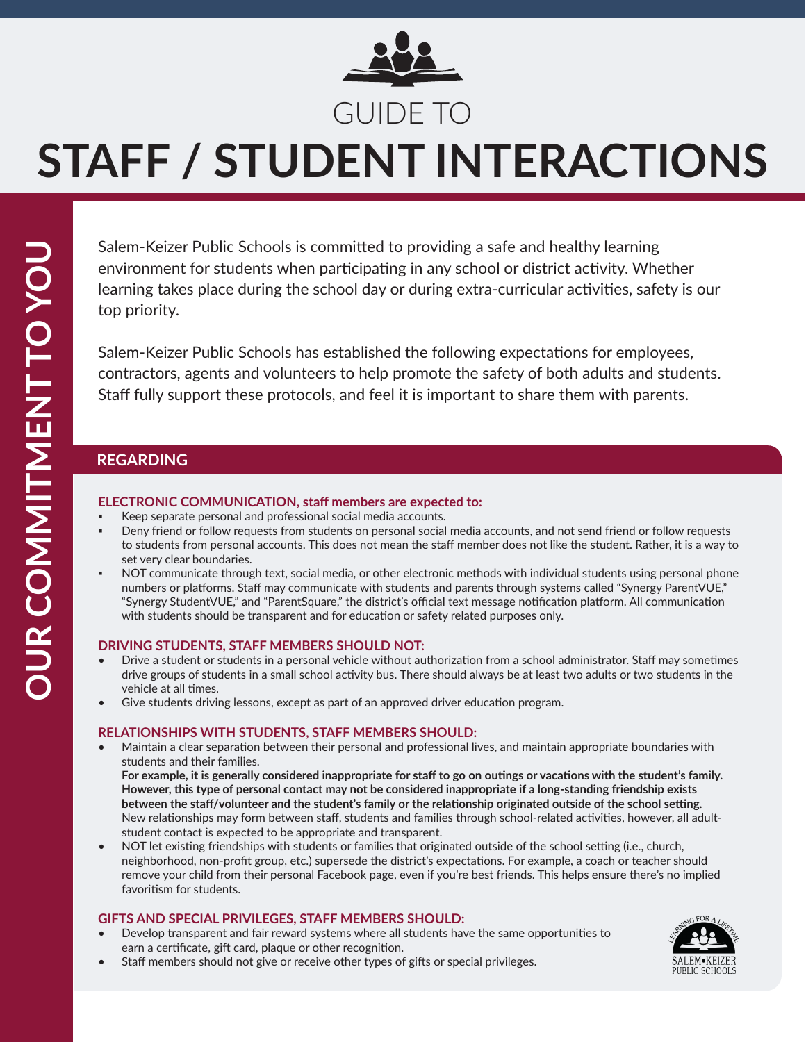

### GUIDE TO

# **STAFF / STUDENT INTERACTIONS**

Salem-Keizer Public Schools is committed to providing a safe and healthy learning environment for students when participating in any school or district activity. Whether learning takes place during the school day or during extra-curricular activities, safety is our top priority.

Salem-Keizer Public Schools has established the following expectations for employees, contractors, agents and volunteers to help promote the safety of both adults and students. Staff fully support these protocols, and feel it is important to share them with parents.

### **REGARDING** REGARDING

### **ELECTRONIC COMMUNICATION, staff members are expected to:**

- Keep separate personal and professional social media accounts.
- Deny friend or follow requests from students on personal social media accounts, and not send friend or follow requests to students from personal accounts. This does not mean the staff member does not like the student. Rather, it is a way to set very clear boundaries.
- NOT communicate through text, social media, or other electronic methods with individual students using personal phone numbers or platforms. Staff may communicate with students and parents through systems called "Synergy ParentVUE," "Synergy StudentVUE," and "ParentSquare," the district's official text message notification platform. All communication with students should be transparent and for education or safety related purposes only.

### **DRIVING STUDENTS, STAFF MEMBERS SHOULD NOT:**

- Drive a student or students in a personal vehicle without authorization from a school administrator. Staff may sometimes drive groups of students in a small school activity bus. There should always be at least two adults or two students in the vehicle at all times.
- Give students driving lessons, except as part of an approved driver education program.

#### **RELATIONSHIPS WITH STUDENTS, STAFF MEMBERS SHOULD:**

• Maintain a clear separation between their personal and professional lives, and maintain appropriate boundaries with students and their families.

**For example, it is generally considered inappropriate for staff to go on outings or vacations with the student's family. However, this type of personal contact may not be considered inappropriate if a long-standing friendship exists between the staff/volunteer and the student's family or the relationship originated outside of the school setting.** New relationships may form between staff, students and families through school-related activities, however, all adultstudent contact is expected to be appropriate and transparent.

• NOT let existing friendships with students or families that originated outside of the school setting (i.e., church, neighborhood, non-profit group, etc.) supersede the district's expectations. For example, a coach or teacher should remove your child from their personal Facebook page, even if you're best friends. This helps ensure there's no implied favoritism for students.

### **GIFTS AND SPECIAL PRIVILEGES, STAFF MEMBERS SHOULD:**

- Develop transparent and fair reward systems where all students have the same opportunities to earn a certificate, gift card, plaque or other recognition.
- Staff members should not give or receive other types of gifts or special privileges.